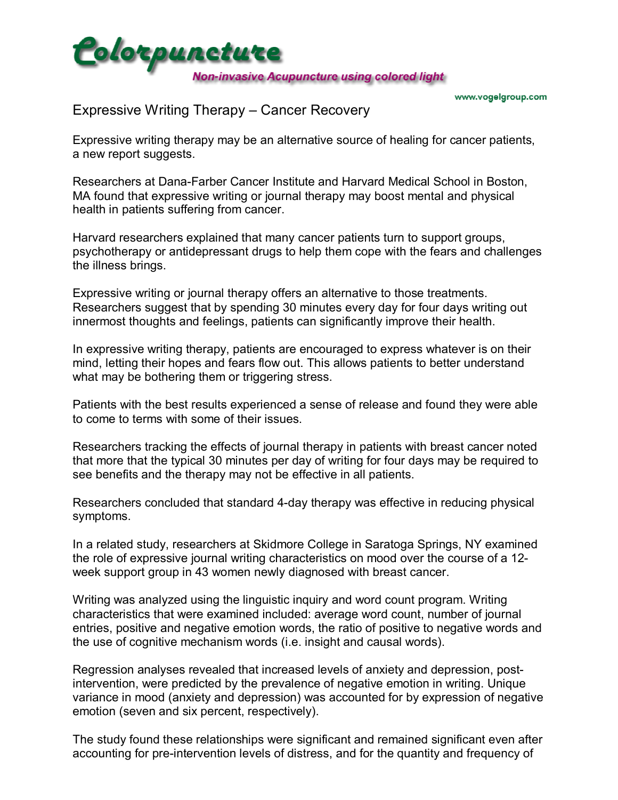

## Expressive Writing Therapy - Cancer Recovery

Expressive writing therapy may be an alternative source of healing for cancer patients, a new report suggests.

Researchers at Dana-Farber Cancer Institute and Harvard Medical School in Boston, MA found that expressive writing or journal therapy may boost mental and physical health in patients suffering from cancer.

Harvard researchers explained that many cancer patients turn to support groups, psychotherapy or antidepressant drugs to help them cope with the fears and challenges the illness brings.

Expressive writing or journal therapy offers an alternative to those treatments. Researchers suggest that by spending 30 minutes every day for four days writing out innermost thoughts and feelings, patients can significantly improve their health.

In expressive writing therapy, patients are encouraged to express whatever is on their mind, letting their hopes and fears flow out. This allows patients to better understand what may be bothering them or triggering stress.

Patients with the best results experienced a sense of release and found they were able to come to terms with some of their issues.

Researchers tracking the effects of journal therapy in patients with breast cancer noted that more that the typical 30 minutes per day of writing for four days may be required to see benefits and the therapy may not be effective in all patients.

Researchers concluded that standard 4-day therapy was effective in reducing physical symptoms.

In a related study, researchers at Skidmore College in Saratoga Springs, NY examined the role of expressive journal writing characteristics on mood over the course of a 12 week support group in 43 women newly diagnosed with breast cancer.

Writing was analyzed using the linguistic inquiry and word count program. Writing characteristics that were examined included: average word count, number of journal entries, positive and negative emotion words, the ratio of positive to negative words and the use of cognitive mechanism words (i.e. insight and causal words).

Regression analyses revealed that increased levels of anxiety and depression, postintervention, were predicted by the prevalence of negative emotion in writing. Unique variance in mood (anxiety and depression) was accounted for by expression of negative emotion (seven and six percent, respectively).

The study found these relationships were significant and remained significant even after accounting for pre-intervention levels of distress, and for the quantity and frequency of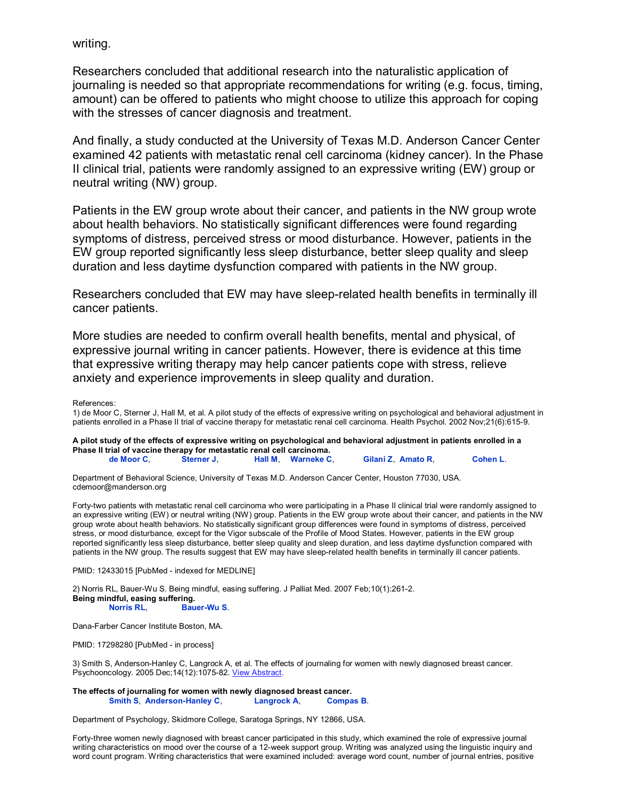writing.

Researchers concluded that additional research into the naturalistic application of journaling is needed so that appropriate recommendations for writing (e.g. focus, timing, amount) can be offered to patients who might choose to utilize this approach for coping with the stresses of cancer diagnosis and treatment.

And finally, a study conducted at the University of Texas M.D. Anderson Cancer Center examined 42 patients with metastatic renal cell carcinoma (kidney cancer). In the Phase II clinical trial, patients were randomly assigned to an expressive writing (EW) group or neutral writing (NW) group.

Patients in the EW group wrote about their cancer, and patients in the NW group wrote about health behaviors. No statistically significant differences were found regarding symptoms of distress, perceived stress or mood disturbance. However, patients in the EW group reported significantly less sleep disturbance, better sleep quality and sleep duration and less daytime dysfunction compared with patients in the NW group.

Researchers concluded that EW may have sleep-related health benefits in terminally ill cancer patients.

More studies are needed to confirm overall health benefits, mental and physical, of expressive journal writing in cancer patients. However, there is evidence at this time that expressive writing therapy may help cancer patients cope with stress, relieve anxiety and experience improvements in sleep quality and duration.

References:

1) de Moor C, Sterner J, Hall M, et al. A pilot study of the effects of expressive writing on psychological and behavioral adjustment in patients enrolled in a Phase II trial of vaccine therapy for metastatic renal cell carcinoma. Health Psychol. 2002 Nov;21(6):615-9.

**A pilot study of the effects of expressive writing on psychological and behavioral adjustment in patients enrolled in a Phase II trial of vaccine therapy for metastatic renal cell carcinoma. de Moor C**, **Sterner J**, **Hall M**, **Warneke C**, **Gilani Z**, **Amato R**, **Cohen L**.

Department of Behavioral Science, University of Texas M.D. Anderson Cancer Center, Houston 77030, USA. cdemoor@manderson.org

Forty-two patients with metastatic renal cell carcinoma who were participating in a Phase II clinical trial were randomly assigned to an expressive writing (EW) or neutral writing (NW) group. Patients in the EW group wrote about their cancer, and patients in the NW group wrote about health behaviors. No statistically significant group differences were found in symptoms of distress, perceived stress, or mood disturbance, except for the Vigor subscale of the Profile of Mood States. However, patients in the EW group reported significantly less sleep disturbance, better sleep quality and sleep duration, and less daytime dysfunction compared with patients in the NW group. The results suggest that EW may have sleep-related health benefits in terminally ill cancer patients.

PMID: 12433015 [PubMed - indexed for MEDLINE]

2) Norris RL, Bauer-Wu S. Being mindful, easing suffering. J Palliat Med. 2007 Feb;10(1):261-2. **Being mindful, easing suffering. Norris RL**, **Bauer-Wu S**.

Dana-Farber Cancer Institute Boston, MA.

PMID: 17298280 [PubMed - in process]

3) Smith S, Anderson-Hanley C, Langrock A, et al. The effects of journaling for women with newly diagnosed breast cancer. Psychooncology. 2005 Dec; 14(12):1075-82. View Abstract.

**The effects of journaling for women with newly diagnosed breast cancer. Smith S**, **Anderson-Hanley C**, **Langrock A**, **Compas B**.

Department of Psychology, Skidmore College, Saratoga Springs, NY 12866, USA.

Forty-three women newly diagnosed with breast cancer participated in this study, which examined the role of expressive journal writing characteristics on mood over the course of a 12-week support group. Writing was analyzed using the linguistic inquiry and word count program. Writing characteristics that were examined included: average word count, number of journal entries, positive